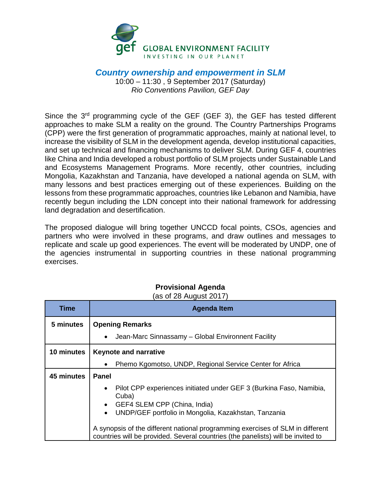

## *Country ownership and empowerment in SLM*

10:00 – 11:30 , 9 September 2017 (Saturday) *Rio Conventions Pavilion, GEF Day*

Since the 3<sup>rd</sup> programming cycle of the GEF (GEF 3), the GEF has tested different approaches to make SLM a reality on the ground. The Country Partnerships Programs (CPP) were the first generation of programmatic approaches, mainly at national level, to increase the visibility of SLM in the development agenda, develop institutional capacities, and set up technical and financing mechanisms to deliver SLM. During GEF 4, countries like China and India developed a robust portfolio of SLM projects under Sustainable Land and Ecosystems Management Programs. More recently, other countries, including Mongolia, Kazakhstan and Tanzania, have developed a national agenda on SLM, with many lessons and best practices emerging out of these experiences. Building on the lessons from these programmatic approaches, countries like Lebanon and Namibia, have recently begun including the LDN concept into their national framework for addressing land degradation and desertification.

The proposed dialogue will bring together UNCCD focal points, CSOs, agencies and partners who were involved in these programs, and draw outlines and messages to replicate and scale up good experiences. The event will be moderated by UNDP, one of the agencies instrumental in supporting countries in these national programming exercises.

| Time       | <b>Agenda Item</b>                                                                                                                                                 |
|------------|--------------------------------------------------------------------------------------------------------------------------------------------------------------------|
| 5 minutes  | <b>Opening Remarks</b>                                                                                                                                             |
|            | Jean-Marc Sinnassamy - Global Environnent Facility<br>$\bullet$                                                                                                    |
| 10 minutes | <b>Keynote and narrative</b>                                                                                                                                       |
|            | Phemo Kgomotso, UNDP, Regional Service Center for Africa                                                                                                           |
| 45 minutes | <b>Panel</b>                                                                                                                                                       |
|            | Pilot CPP experiences initiated under GEF 3 (Burkina Faso, Namibia,<br>$\bullet$<br>Cuba)<br>GEF4 SLEM CPP (China, India)                                          |
|            | UNDP/GEF portfolio in Mongolia, Kazakhstan, Tanzania<br>$\bullet$                                                                                                  |
|            | A synopsis of the different national programming exercises of SLM in different<br>countries will be provided. Several countries (the panelists) will be invited to |

## **Provisional Agenda**

(as of 28 August 2017)